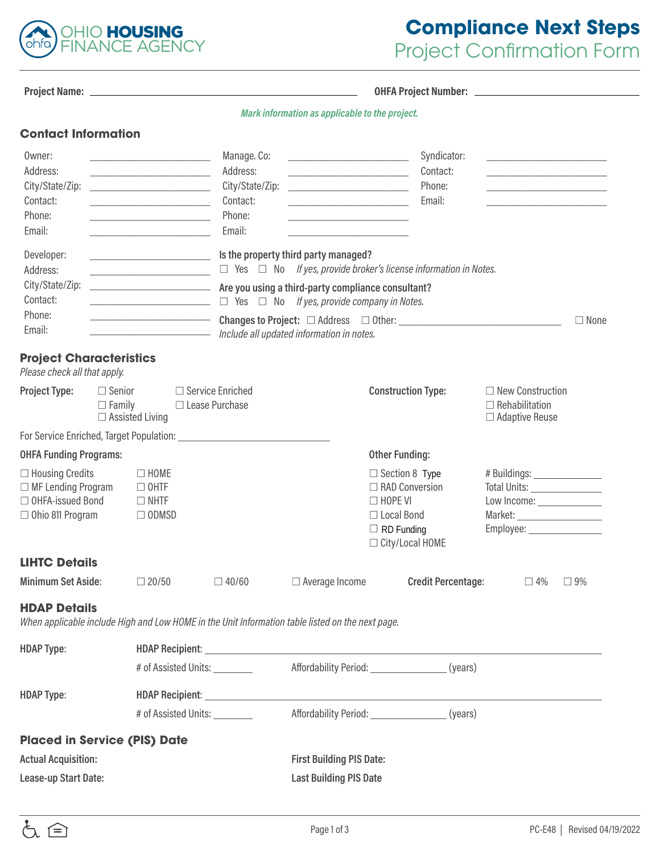

# **Compliance Next Steps**  Project Confirmation Form

| Proiect Name: |  |
|---------------|--|
|               |  |

**OHFA Project Number:**  $-$ 

| Mark information as applicable to the project. |  |  |
|------------------------------------------------|--|--|
|------------------------------------------------|--|--|

| Owner:<br>Address:<br>City/State/Zip:<br>Contact:<br>Phone:<br>Email:                           |                                | <u> 1989 - Johann Barbara, martin amerikan basar dan berasal dalam basar dalam basar dalam basar dalam basar dala</u><br><u> 1989 - Johann John Stone, mars eta bat eta bat eta bat eta bat eta bat eta bat eta bat eta bat eta bat eta b</u> | Manage. Co:<br>Address:<br>City/State/Zip:<br>Contact:<br>Phone:<br>Email: |                                                                                                                                                                          | Syndicator:<br>Contact:<br>Phone:<br>Email:                                                                           | <u> 1989 - Johann Barbara, martin amerikan basar dan berasal dalam basar dalam basar dalam basar dalam basar dala</u> |             |
|-------------------------------------------------------------------------------------------------|--------------------------------|-----------------------------------------------------------------------------------------------------------------------------------------------------------------------------------------------------------------------------------------------|----------------------------------------------------------------------------|--------------------------------------------------------------------------------------------------------------------------------------------------------------------------|-----------------------------------------------------------------------------------------------------------------------|-----------------------------------------------------------------------------------------------------------------------|-------------|
| Developer:<br>Address:<br>City/State/Zip:<br>Contact:                                           |                                |                                                                                                                                                                                                                                               |                                                                            | Is the property third party managed?<br><b>EXAMPLE 2018</b> Are you using a third-party compliance consultant?<br>$\Box$ Yes $\Box$ No If yes, provide company in Notes. | $\Box$ Yes $\Box$ No If yes, provide broker's license information in Notes.                                           |                                                                                                                       |             |
| Phone:<br>Email:                                                                                |                                |                                                                                                                                                                                                                                               |                                                                            | Include all updated information in notes.                                                                                                                                |                                                                                                                       |                                                                                                                       | $\Box$ None |
| <b>Project Characteristics</b><br>Please check all that apply.                                  |                                |                                                                                                                                                                                                                                               |                                                                            |                                                                                                                                                                          |                                                                                                                       |                                                                                                                       |             |
| <b>Project Type:</b>                                                                            | $\Box$ Senior<br>$\Box$ Family | $\Box$ Assisted Living                                                                                                                                                                                                                        | $\Box$ Service Enriched<br>□ Lease Purchase                                |                                                                                                                                                                          | <b>Construction Type:</b>                                                                                             | $\Box$ New Construction<br>$\Box$ Rehabilitation<br>$\Box$ Adaptive Reuse                                             |             |
|                                                                                                 |                                |                                                                                                                                                                                                                                               |                                                                            |                                                                                                                                                                          |                                                                                                                       |                                                                                                                       |             |
| <b>OHFA Funding Programs:</b>                                                                   |                                |                                                                                                                                                                                                                                               |                                                                            |                                                                                                                                                                          | <b>Other Funding:</b>                                                                                                 |                                                                                                                       |             |
| □ Housing Credits<br>$\Box$ MF Lending Program<br>□ OHFA-issued Bond<br>$\Box$ Ohio 811 Program |                                | $\Box$ HOME<br>$\Box$ OHTF<br>$\Box$ NHTF<br>$\Box$ ODMSD                                                                                                                                                                                     |                                                                            |                                                                                                                                                                          | $\Box$ Section 8 Type<br>□ RAD Conversion<br>$\Box$ HOPE VI<br>□ Local Bond<br>$\Box$ RD Funding<br>□ City/Local HOME | # Buildings: ________________<br>Low Income: ______________<br>Employee: _________________                            |             |
| <b>LIHTC Details</b>                                                                            |                                |                                                                                                                                                                                                                                               |                                                                            |                                                                                                                                                                          |                                                                                                                       |                                                                                                                       |             |
| <b>Minimum Set Aside:</b>                                                                       |                                | $\Box$ 20/50                                                                                                                                                                                                                                  | $\Box$ 40/60                                                               | $\Box$ Average Income                                                                                                                                                    | <b>Credit Percentage:</b>                                                                                             | $\Box$ 4%                                                                                                             | $\Box$ 9%   |
| <b>HDAP Details</b>                                                                             |                                |                                                                                                                                                                                                                                               |                                                                            | When applicable include High and Low HOME in the Unit Information table listed on the next page.                                                                         |                                                                                                                       |                                                                                                                       |             |
| <b>HDAP Type:</b>                                                                               |                                |                                                                                                                                                                                                                                               | HDAP Recipient: __________________                                         |                                                                                                                                                                          |                                                                                                                       |                                                                                                                       |             |
|                                                                                                 |                                |                                                                                                                                                                                                                                               | # of Assisted Units: ________                                              |                                                                                                                                                                          | Affordability Period: (years)                                                                                         |                                                                                                                       |             |
| <b>HDAP Type:</b>                                                                               |                                |                                                                                                                                                                                                                                               | # of Assisted Units: _________                                             |                                                                                                                                                                          | Affordability Period: _________________(years)                                                                        |                                                                                                                       |             |
|                                                                                                 |                                |                                                                                                                                                                                                                                               |                                                                            |                                                                                                                                                                          |                                                                                                                       |                                                                                                                       |             |
| <b>Placed in Service (PIS) Date</b>                                                             |                                |                                                                                                                                                                                                                                               |                                                                            |                                                                                                                                                                          |                                                                                                                       |                                                                                                                       |             |
| <b>Actual Acquisition:</b>                                                                      |                                |                                                                                                                                                                                                                                               |                                                                            | <b>First Building PIS Date:</b>                                                                                                                                          |                                                                                                                       |                                                                                                                       |             |
| Lease-up Start Date:                                                                            |                                |                                                                                                                                                                                                                                               |                                                                            | <b>Last Building PIS Date</b>                                                                                                                                            |                                                                                                                       |                                                                                                                       |             |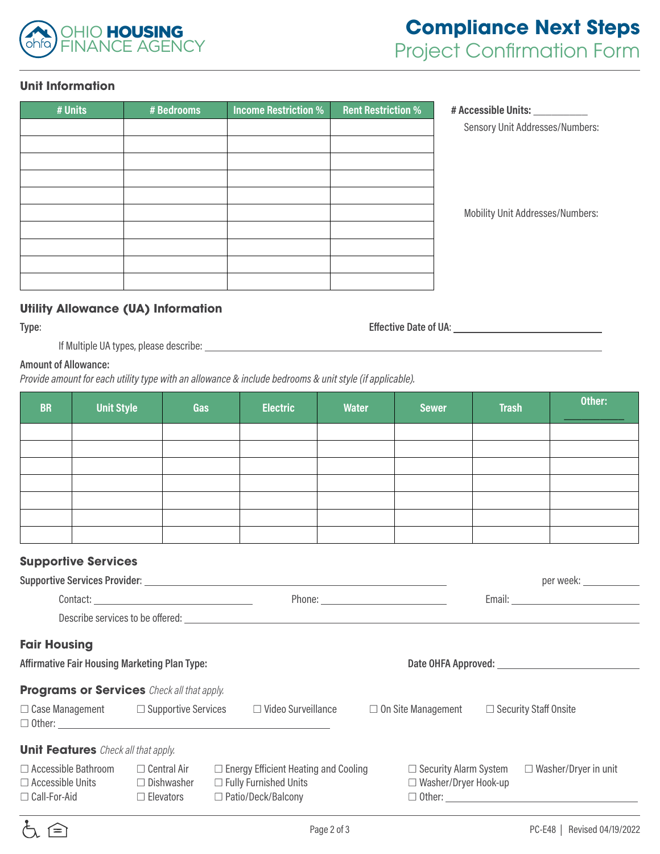

#### **Unit Information**

| # Acces | <b>Rent Restriction %</b> | <b>Income Restriction %</b> | # Bedrooms | # Units |
|---------|---------------------------|-----------------------------|------------|---------|
| Sens    |                           |                             |            |         |
|         |                           |                             |            |         |
|         |                           |                             |            |         |
|         |                           |                             |            |         |
|         |                           |                             |            |         |
| Mobi    |                           |                             |            |         |
|         |                           |                             |            |         |
|         |                           |                             |            |         |
|         |                           |                             |            |         |
|         |                           |                             |            |         |
|         |                           |                             |            |         |

**# Units # Bedrooms Income Restriction % Rent Restriction % # Accessible Units: \_\_\_\_\_\_\_\_\_** sory Unit Addresses/Numbers:

ility Unit Addresses/Numbers:

## **Utility Allowance (UA) Information**

**Type**: **Effective Date of UA**:

If Multiple UA types, please describe:

#### **Amount of Allowance:**

*Provide amount for each utility type with an allowance & include bedrooms & unit style (if applicable).*

| <b>BR</b> | <b>Unit Style</b> | Gas | <b>Electric</b> | Water | <b>Sewer</b> | <b>Trash</b> | Other: |
|-----------|-------------------|-----|-----------------|-------|--------------|--------------|--------|
|           |                   |     |                 |       |              |              |        |
|           |                   |     |                 |       |              |              |        |
|           |                   |     |                 |       |              |              |        |
|           |                   |     |                 |       |              |              |        |
|           |                   |     |                 |       |              |              |        |
|           |                   |     |                 |       |              |              |        |
|           |                   |     |                 |       |              |              |        |

## **Supportive Services**

|                                                      |                                                   |  |                                                                                                                                                                                                                                |  |                             |  | per week: _____________                                  |  |
|------------------------------------------------------|---------------------------------------------------|--|--------------------------------------------------------------------------------------------------------------------------------------------------------------------------------------------------------------------------------|--|-----------------------------|--|----------------------------------------------------------|--|
|                                                      |                                                   |  |                                                                                                                                                                                                                                |  |                             |  |                                                          |  |
|                                                      |                                                   |  | Describe services to be offered: Letters and the services of the services of the services of the services of the services of the services of the services of the services of the services of the services of the services of t |  |                             |  |                                                          |  |
| <b>Fair Housing</b>                                  |                                                   |  |                                                                                                                                                                                                                                |  |                             |  |                                                          |  |
| <b>Affirmative Fair Housing Marketing Plan Type:</b> |                                                   |  |                                                                                                                                                                                                                                |  |                             |  |                                                          |  |
| <b>Programs or Services</b> Check all that apply.    |                                                   |  |                                                                                                                                                                                                                                |  |                             |  |                                                          |  |
|                                                      | $\Box$ Case Management $\Box$ Supportive Services |  | □ Video Surveillance                                                                                                                                                                                                           |  | $\Box$ On Site Management   |  | $\Box$ Security Staff Onsite                             |  |
| <b>Unit Features</b> Check all that apply.           |                                                   |  |                                                                                                                                                                                                                                |  |                             |  |                                                          |  |
| $\Box$ Accessible Bathroom                           | $\Box$ Central Air                                |  | $\Box$ Energy Efficient Heating and Cooling                                                                                                                                                                                    |  |                             |  | $\Box$ Security Alarm System $\Box$ Washer/Dryer in unit |  |
| $\Box$ Accessible Units                              | $\Box$ Dishwasher                                 |  | $\Box$ Fully Furnished Units                                                                                                                                                                                                   |  | $\Box$ Washer/Dryer Hook-up |  |                                                          |  |
| $\Box$ Call-For-Aid                                  | $\Box$ Elevators                                  |  | $\Box$ Patio/Deck/Balcony                                                                                                                                                                                                      |  |                             |  |                                                          |  |